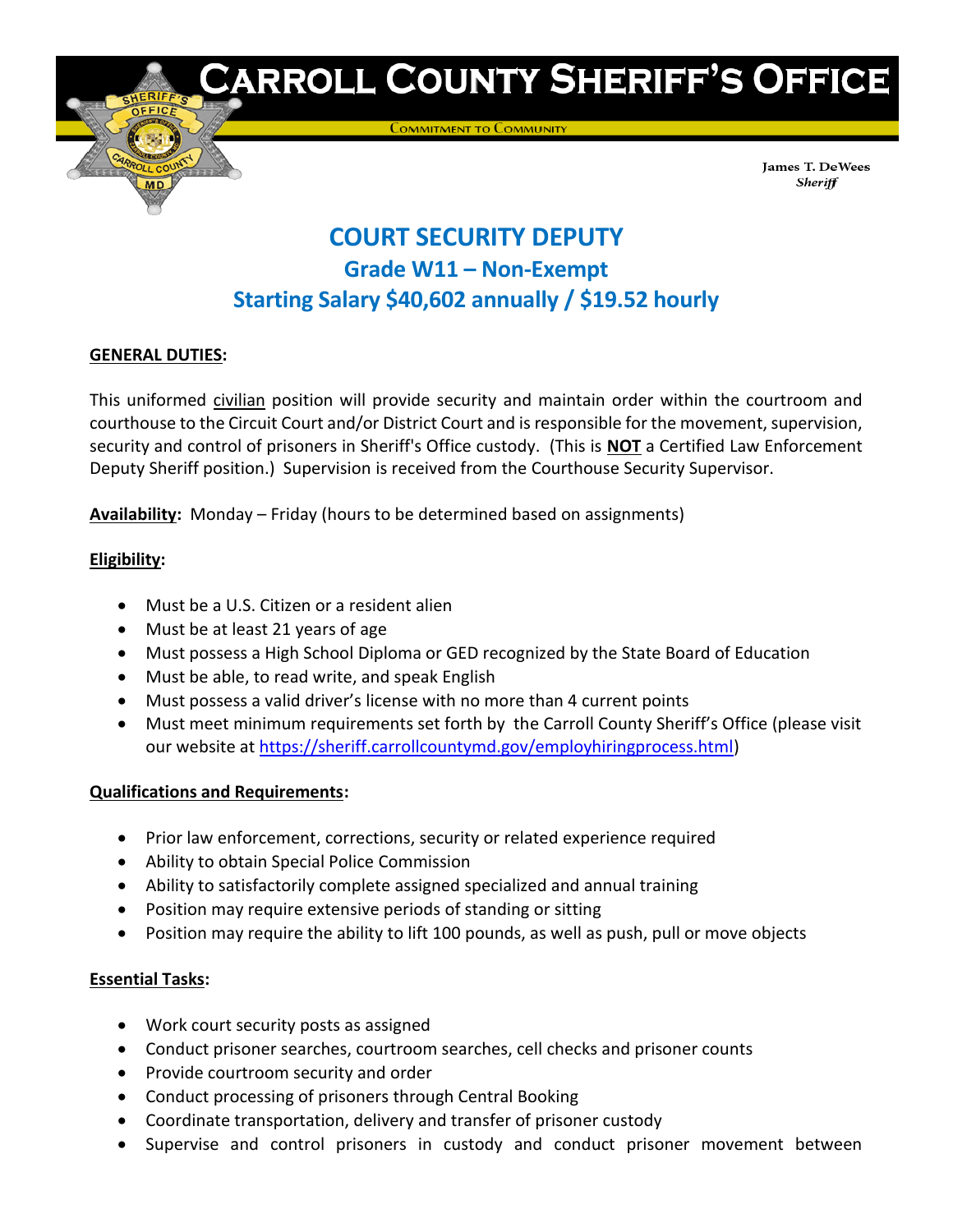

# **CARROLL COUNTY SHERIFF'S OFFICE**

**COMMITMENT TO COMMUNITY** 

James T. DeWees Sheriff

# **COURT SECURITY DEPUTY Grade W11 – Non-Exempt Starting Salary \$40,602 annually / \$19.52 hourly**

# **GENERAL DUTIES:**

This uniformed civilian position will provide security and maintain order within the courtroom and courthouse to the Circuit Court and/or District Court and is responsible for the movement, supervision, security and control of prisoners in Sheriff's Office custody. (This is **NOT** a Certified Law Enforcement Deputy Sheriff position.) Supervision is received from the Courthouse Security Supervisor.

**Availability:** Monday – Friday (hours to be determined based on assignments)

# **Eligibility:**

- Must be a U.S. Citizen or a resident alien
- Must be at least 21 years of age
- Must possess a High School Diploma or GED recognized by the State Board of Education
- Must be able, to read write, and speak English
- Must possess a valid driver's license with no more than 4 current points
- Must meet minimum requirements set forth by the Carroll County Sheriff's Office (please visit our website at [https://sheriff.carrollcountymd.gov/employhiringprocess.html\)](https://sheriff.carrollcountymd.gov/employhiringprocess.html)

#### **Qualifications and Requirements:**

- Prior law enforcement, corrections, security or related experience required
- Ability to obtain Special Police Commission
- Ability to satisfactorily complete assigned specialized and annual training
- Position may require extensive periods of standing or sitting
- Position may require the ability to lift 100 pounds, as well as push, pull or move objects

#### **Essential Tasks:**

- Work court security posts as assigned
- Conduct prisoner searches, courtroom searches, cell checks and prisoner counts
- Provide courtroom security and order
- Conduct processing of prisoners through Central Booking
- Coordinate transportation, delivery and transfer of prisoner custody
- Supervise and control prisoners in custody and conduct prisoner movement between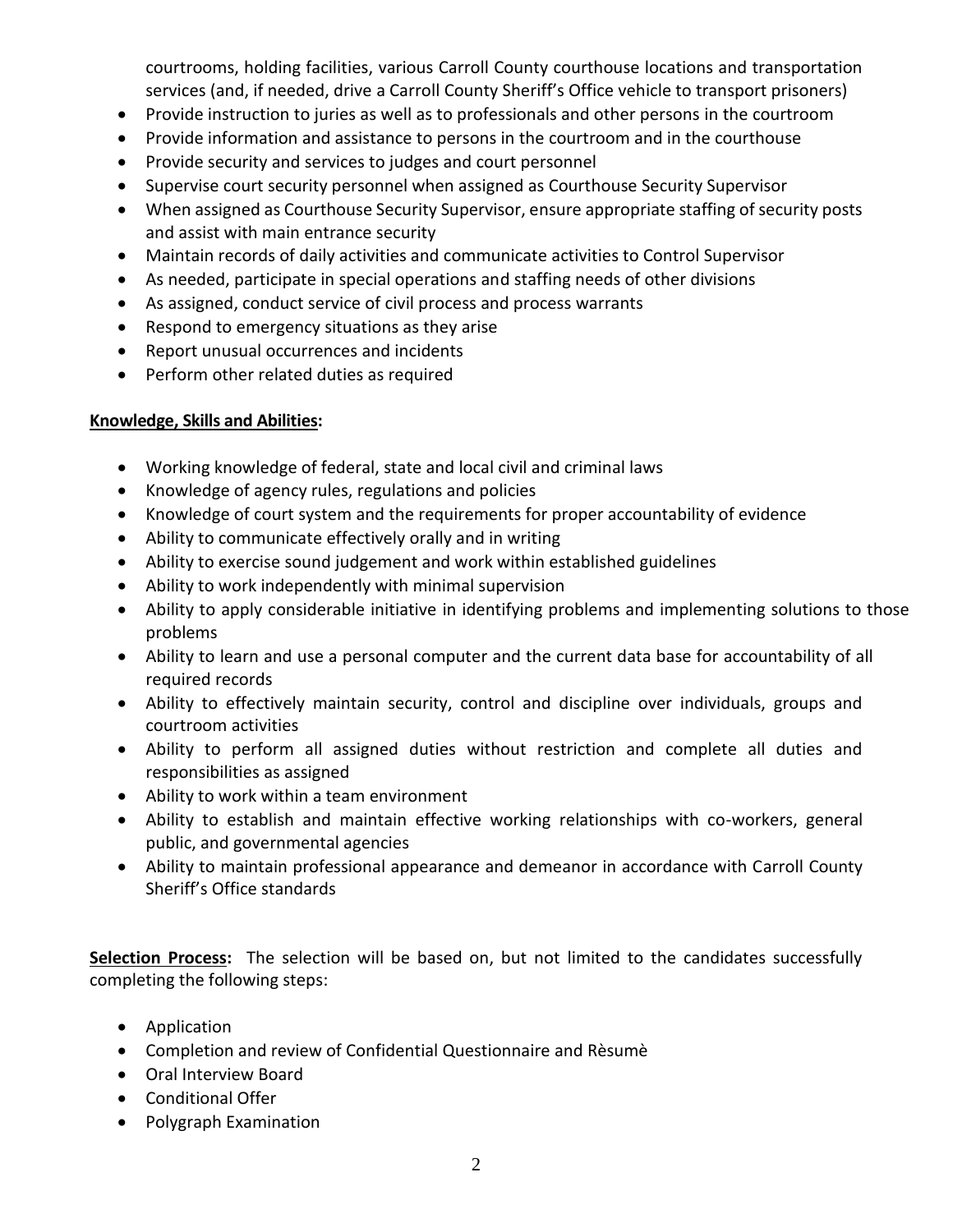courtrooms, holding facilities, various Carroll County courthouse locations and transportation services (and, if needed, drive a Carroll County Sheriff's Office vehicle to transport prisoners)

- Provide instruction to juries as well as to professionals and other persons in the courtroom
- Provide information and assistance to persons in the courtroom and in the courthouse
- Provide security and services to judges and court personnel
- Supervise court security personnel when assigned as Courthouse Security Supervisor
- When assigned as Courthouse Security Supervisor, ensure appropriate staffing of security posts and assist with main entrance security
- Maintain records of daily activities and communicate activities to Control Supervisor
- As needed, participate in special operations and staffing needs of other divisions
- As assigned, conduct service of civil process and process warrants
- Respond to emergency situations as they arise
- Report unusual occurrences and incidents
- Perform other related duties as required

# **Knowledge, Skills and Abilities:**

- Working knowledge of federal, state and local civil and criminal laws
- Knowledge of agency rules, regulations and policies
- Knowledge of court system and the requirements for proper accountability of evidence
- Ability to communicate effectively orally and in writing
- Ability to exercise sound judgement and work within established guidelines
- Ability to work independently with minimal supervision
- Ability to apply considerable initiative in identifying problems and implementing solutions to those problems
- Ability to learn and use a personal computer and the current data base for accountability of all required records
- Ability to effectively maintain security, control and discipline over individuals, groups and courtroom activities
- Ability to perform all assigned duties without restriction and complete all duties and responsibilities as assigned
- Ability to work within a team environment
- Ability to establish and maintain effective working relationships with co-workers, general public, and governmental agencies
- Ability to maintain professional appearance and demeanor in accordance with Carroll County Sheriff's Office standards

**Selection Process:** The selection will be based on, but not limited to the candidates successfully completing the following steps:

- Application
- Completion and review of Confidential Questionnaire and Rèsumè
- Oral Interview Board
- Conditional Offer
- Polygraph Examination